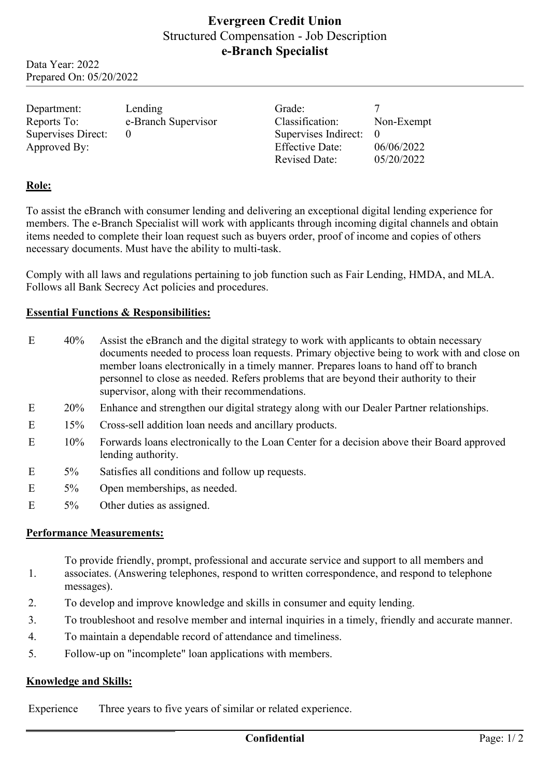# **Evergreen Credit Union** Structured Compensation - Job Description **e-Branch Specialist**

Data Year: 2022 Prepared On: 05/20/2022

| Department:        | Lending             | Grade:                 |            |
|--------------------|---------------------|------------------------|------------|
| Reports To:        | e-Branch Supervisor | Classification:        | Non-Exempt |
| Supervises Direct: |                     | Supervises Indirect:   |            |
| Approved By:       |                     | <b>Effective Date:</b> | 06/06/2022 |
|                    |                     | <b>Revised Date:</b>   | 05/20/2022 |

### **Role:**

To assist the eBranch with consumer lending and delivering an exceptional digital lending experience for members. The e-Branch Specialist will work with applicants through incoming digital channels and obtain items needed to complete their loan request such as buyers order, proof of income and copies of others necessary documents. Must have the ability to multi-task.

Comply with all laws and regulations pertaining to job function such as Fair Lending, HMDA, and MLA. Follows all Bank Secrecy Act policies and procedures.

#### **Essential Functions & Responsibilities:**

| E | 40%    | Assist the eBranch and the digital strategy to work with applicants to obtain necessary<br>documents needed to process loan requests. Primary objective being to work with and close on<br>member loans electronically in a timely manner. Prepares loans to hand off to branch<br>personnel to close as needed. Refers problems that are beyond their authority to their<br>supervisor, along with their recommendations. |
|---|--------|----------------------------------------------------------------------------------------------------------------------------------------------------------------------------------------------------------------------------------------------------------------------------------------------------------------------------------------------------------------------------------------------------------------------------|
| E | 20%    | Enhance and strengthen our digital strategy along with our Dealer Partner relationships.                                                                                                                                                                                                                                                                                                                                   |
| E | 15%    | Cross-sell addition loan needs and ancillary products.                                                                                                                                                                                                                                                                                                                                                                     |
| E | $10\%$ | Forwards loans electronically to the Loan Center for a decision above their Board approved<br>lending authority.                                                                                                                                                                                                                                                                                                           |
| E | $5\%$  | Satisfies all conditions and follow up requests.                                                                                                                                                                                                                                                                                                                                                                           |
| E | $5\%$  | Open memberships, as needed.                                                                                                                                                                                                                                                                                                                                                                                               |
| E | $5\%$  | Other duties as assigned.                                                                                                                                                                                                                                                                                                                                                                                                  |

#### **Performance Measurements:**

To provide friendly, prompt, professional and accurate service and support to all members and

- 1. associates. (Answering telephones, respond to written correspondence, and respond to telephone messages).
- 2. To develop and improve knowledge and skills in consumer and equity lending.
- 3. To troubleshoot and resolve member and internal inquiries in a timely, friendly and accurate manner.
- 4. To maintain a dependable record of attendance and timeliness.
- 5. Follow-up on "incomplete" loan applications with members.

#### **Knowledge and Skills:**

Experience Three years to five years of similar or related experience.